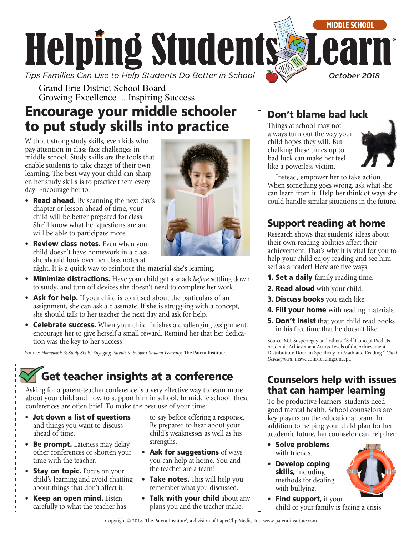

Grand Erie District School Board Growing Excellence ... Inspiring Success

# Encourage your middle schooler to put study skills into practice

Without strong study skills, even kids who pay attention in class face challenges in middle school. Study skills are the tools that enable students to take charge of their own learning. The best way your child can sharpen her study skills is to practice them every day. Encourage her to:

- Read ahead. By scanning the next day's chapter or lesson ahead of time, your child will be better prepared for class. She'll know what her questions are and will be able to participate more.
- Review class notes. Even when your child doesn't have homework in a class, she should look over her class notes at

night. It is a quick way to reinforce the material she's learning.

- Minimize distractions. Have your child get a snack *before* settling down to study, and turn off devices she doesn't need to complete her work.
- Ask for help. If your child is confused about the particulars of an assignment, she can ask a classmate. If she is struggling with a concept, she should talk to her teacher the next day and ask for help.
- Celebrate success. When your child finishes a challenging assignment, encourage her to give herself a small reward. Remind her that her dedication was the key to her success!

Source: *Homework & Study Skills: Engaging Parents to Support Student Learning*, The Parent Institute.

# Get teacher insights at a conference

Asking for a parent-teacher conference is a very effective way to learn more about your child and how to support him in school. In middle school, these conferences are often brief. To make the best use of your time:

- Jot down a list of questions and things you want to discuss ahead of time.
- Be prompt. Lateness may delay other conferences or shorten your time with the teacher.
- Stay on topic. Focus on your child's learning and avoid chatting about things that don't affect it.
- **Keep an open mind.** Listen carefully to what the teacher has

to say before offering a response. Be prepared to hear about your child's weaknesses as well as his strengths.

- Ask for suggestions of ways you can help at home. You and the teacher are a team!
- Take notes. This will help you remember what you discussed.
- Talk with your child about any plans you and the teacher make.

### Don't blame bad luck

Things at school may not always turn out the way your child hopes they will. But chalking these times up to bad luck can make her feel like a powerless victim.



Instead, empower her to take action. When something goes wrong, ask what she can learn from it. Help her think of ways she could handle similar situations in the future.

### Support reading at home

Research shows that students' ideas about their own reading abilities affect their achievement. That's why it is vital for you to help your child enjoy reading and see himself as a reader! Here are five ways:

- **1. Set a daily** family reading time.
- 2. Read aloud with your child.
- **3. Discuss books** you each like.
- 4. Fill your home with reading materials.
- **5. Don't insist** that your child read books in his free time that he doesn't like.

Source: M.I. Susperreguy and others, "Self-Concept Predicts Academic Achievement Across Levels of the Achievement Distribution: Domain Specificity for Math and Reading," *Child Development*, [niswc.com/readingconcept.](http://niswc.com/readingconcept)

### Counselors help with issues that can hamper learning

To be productive learners, students need good mental health. School counselors are key players on the educational team. In addition to helping your child plan for her academic future, her counselor can help her:

- Solve problems with friends.
- Develop coping skills, including methods for dealing with bullying.



**Find support, if your** child or your family is facing a crisis.